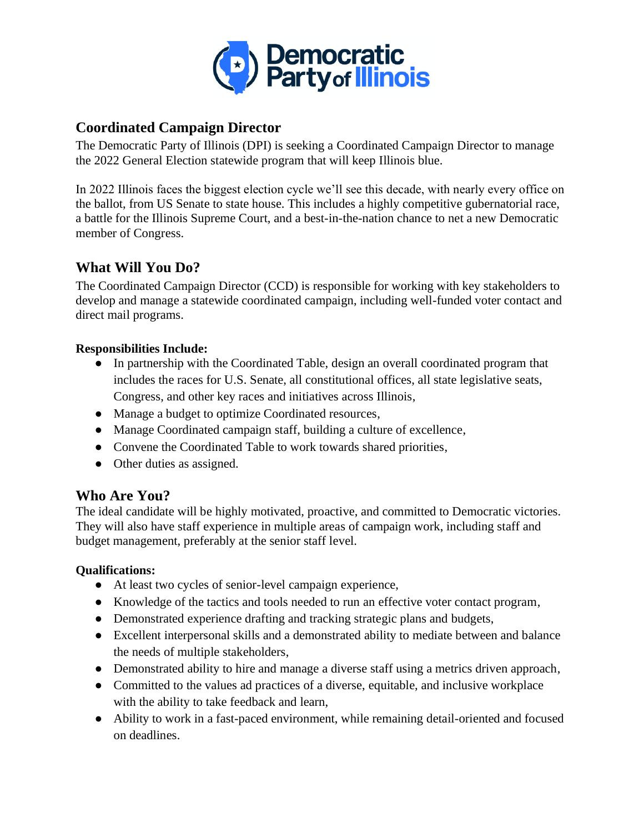

## **Coordinated Campaign Director**

The Democratic Party of Illinois (DPI) is seeking a Coordinated Campaign Director to manage the 2022 General Election statewide program that will keep Illinois blue.

In 2022 Illinois faces the biggest election cycle we'll see this decade, with nearly every office on the ballot, from US Senate to state house. This includes a highly competitive gubernatorial race, a battle for the Illinois Supreme Court, and a best-in-the-nation chance to net a new Democratic member of Congress.

## **What Will You Do?**

The Coordinated Campaign Director (CCD) is responsible for working with key stakeholders to develop and manage a statewide coordinated campaign, including well-funded voter contact and direct mail programs.

### **Responsibilities Include:**

- In partnership with the Coordinated Table, design an overall coordinated program that includes the races for U.S. Senate, all constitutional offices, all state legislative seats, Congress, and other key races and initiatives across Illinois,
- Manage a budget to optimize Coordinated resources,
- Manage Coordinated campaign staff, building a culture of excellence,
- Convene the Coordinated Table to work towards shared priorities,
- Other duties as assigned.

# **Who Are You?**

The ideal candidate will be highly motivated, proactive, and committed to Democratic victories. They will also have staff experience in multiple areas of campaign work, including staff and budget management, preferably at the senior staff level.

### **Qualifications:**

- At least two cycles of senior-level campaign experience,
- Knowledge of the tactics and tools needed to run an effective voter contact program,
- Demonstrated experience drafting and tracking strategic plans and budgets,
- Excellent interpersonal skills and a demonstrated ability to mediate between and balance the needs of multiple stakeholders,
- Demonstrated ability to hire and manage a diverse staff using a metrics driven approach,
- Committed to the values ad practices of a diverse, equitable, and inclusive workplace with the ability to take feedback and learn,
- Ability to work in a fast-paced environment, while remaining detail-oriented and focused on deadlines.